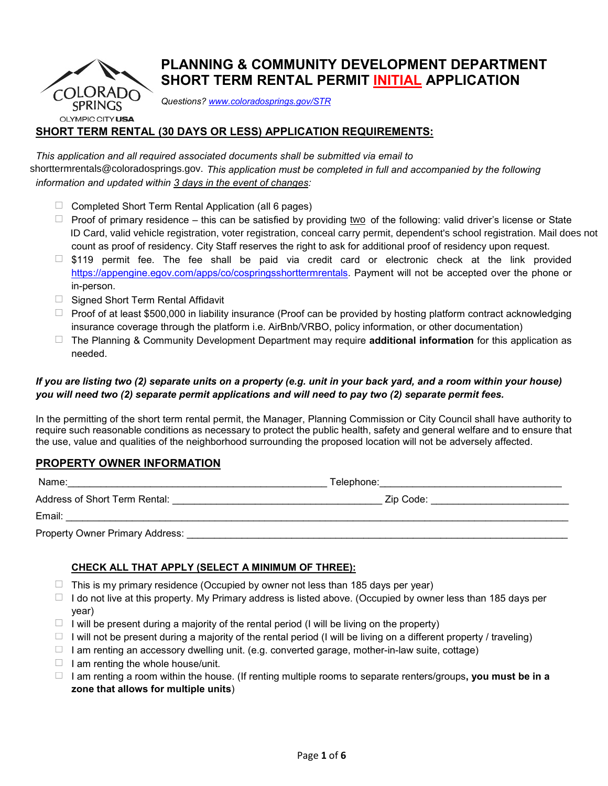

# **PLANNING & COMMUNITY DEVELOPMENT DEPARTMENT SHORT TERM RENTAL PERMIT INITIAL APPLICATION**

*Questions? [www.coloradosprings.gov/STR](http://www.coloradosprings.gov/STR)*

## **SHORT TERM RENTAL (30 DAYS OR LESS) APPLICATION REQUIREMENTS:**

*This application and all required associated documents shall be submitted via email to shorttermrentals@coloradosprings.go. This application must be completed in full and accompanied by the following information and updated within 3 days in the event of changes:* 

- $\Box$  Completed Short Term Rental Application (all 6 pages)
- Proof of primary residence this can be satisfied by providing <u>two</u> of the following: valid driver's license or State ID Card, valid vehicle registration, voter registration, conceal carry permit, dependent's school registration. Mail does not count as proof of residency. City Staff reserves the right to ask for additional proof of residency upon request. Information and updated within 3 days in the event of changes:<br>
Information and updated within 3 days in the event of changes:<br>
□ Completed Short Term Rental Application (all 6 pages)<br>
□ Proof of primary residence – this
	- $\Box$  \$119 permit fee. The fee shall be paid via credit card or electronic check at the link provided [https://appengine.egov.com/apps/co/cospringsshorttermrentals.](https://appengine.egov.com/apps/co/cospringsshorttermrentals) Payment will not be accepted over the phone or in-person.
	- $\Box$  Signed Short Term Rental Affidavit
	- $\Box$  Proof of at least \$500,000 in liability insurance (Proof can be provided by hosting platform contract acknowledging insurance coverage through the platform i.e. AirBnb/VRBO, policy information, or other documentation)
	- The Planning & Community Development Department may require **additional information** for this application as needed.

## *If you are listing two (2) separate units on a property (e.g. unit in your back yard, and a room within your house) you will need two (2) separate permit applications and will need to pay two (2) separate permit fees.*

In the permitting of the short term rental permit, the Manager, Planning Commission or City Council shall have authority to require such reasonable conditions as necessary to protect the public health, safety and general welfare and to ensure that the use, value and qualities of the neighborhood surrounding the proposed location will not be adversely affected.

## **PROPERTY OWNER INFORMATION**

| Name:                           | Telephone: |  |
|---------------------------------|------------|--|
| Address of Short Term Rental:   | Zip Code:  |  |
| Email:                          |            |  |
| Property Owner Primary Address: |            |  |

#### **CHECK ALL THAT APPLY (SELECT A MINIMUM OF THREE):**

- $\Box$  This is my primary residence (Occupied by owner not less than 185 days per year)
- $\Box$  I do not live at this property. My Primary address is listed above. (Occupied by owner less than 185 days per year)
- $\Box$  I will be present during a majority of the rental period (I will be living on the property)
- $\Box$  I will not be present during a majority of the rental period (I will be living on a different property / traveling)
- $\Box$  I am renting an accessory dwelling unit. (e.g. converted garage, mother-in-law suite, cottage)
- $\Box$  I am renting the whole house/unit.
- I am renting a room within the house. (If renting multiple rooms to separate renters/groups**, you must be in a zone that allows for multiple units**)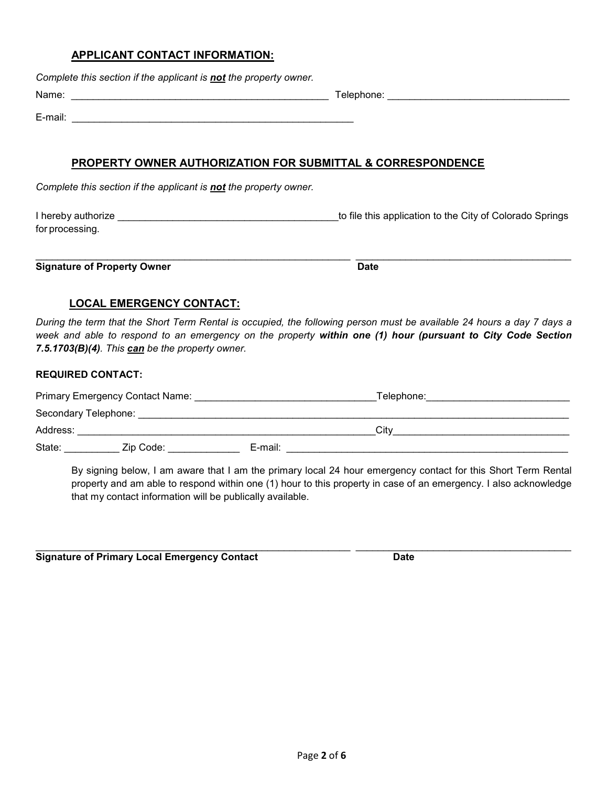#### **APPLICANT CONTACT INFORMATION:**

*Complete this section if the applicant is not the property owner.*

Name: \_\_\_\_\_\_\_\_\_\_\_\_\_\_\_\_\_\_\_\_\_\_\_\_\_\_\_\_\_\_\_\_\_\_\_\_\_\_\_\_\_\_\_\_\_\_\_ Telephone: \_\_\_\_\_\_\_\_\_\_\_\_\_\_\_\_\_\_\_\_\_\_\_\_\_\_\_\_\_\_\_\_\_

E-mail: \_\_\_\_\_\_\_\_\_\_\_\_\_\_\_\_\_\_\_\_\_\_\_\_\_\_\_\_\_\_\_\_\_\_\_\_\_\_\_\_\_\_\_\_\_\_\_\_\_\_\_

## **PROPERTY OWNER AUTHORIZATION FOR SUBMITTAL & CORRESPONDENCE**

*Complete this section if the applicant is not the property owner.*

I hereby authorize \_\_\_\_\_\_\_\_\_\_\_\_\_\_\_\_\_\_\_\_\_\_\_\_\_\_\_\_\_\_\_\_\_\_\_\_\_\_\_\_to file this application to the City of Colorado Springs for processing.

\_\_\_\_\_\_\_\_\_\_\_\_\_\_\_\_\_\_\_\_\_\_\_\_\_\_\_\_\_\_\_\_\_\_\_\_\_\_\_\_\_\_\_\_\_\_\_\_\_\_\_\_\_\_\_\_\_ \_\_\_\_\_\_\_\_\_\_\_\_\_\_\_\_\_\_\_\_\_\_\_\_\_\_\_\_\_\_\_\_\_\_\_\_\_\_\_ **Signature of Property Owner Date Date Date** 

## **LOCAL EMERGENCY CONTACT:**

*During the term that the Short Term Rental is occupied, the following person must be available 24 hours a day 7 days a week and able to respond to an emergency on the property within one (1) hour (pursuant to City Code Section 7.5.1703(B)(4). This can be the property owner.*

#### **REQUIRED CONTACT:**

| Primary Emergency Contact Name: |           |         |  | Telephone: |
|---------------------------------|-----------|---------|--|------------|
| Secondary Telephone:            |           |         |  |            |
| Address:                        |           |         |  | City       |
| State:                          | Zip Code: | E-mail: |  |            |

By signing below, I am aware that I am the primary local 24 hour emergency contact for this Short Term Rental property and am able to respond within one (1) hour to this property in case of an emergency. I also acknowledge that my contact information will be publically available.

\_\_\_\_\_\_\_\_\_\_\_\_\_\_\_\_\_\_\_\_\_\_\_\_\_\_\_\_\_\_\_\_\_\_\_\_\_\_\_\_\_\_\_\_\_\_\_\_\_\_\_\_\_\_\_\_\_ \_\_\_\_\_\_\_\_\_\_\_\_\_\_\_\_\_\_\_\_\_\_\_\_\_\_\_\_\_\_\_\_\_\_\_\_\_\_\_ **Signature of Primary Local Emergency Contact Date**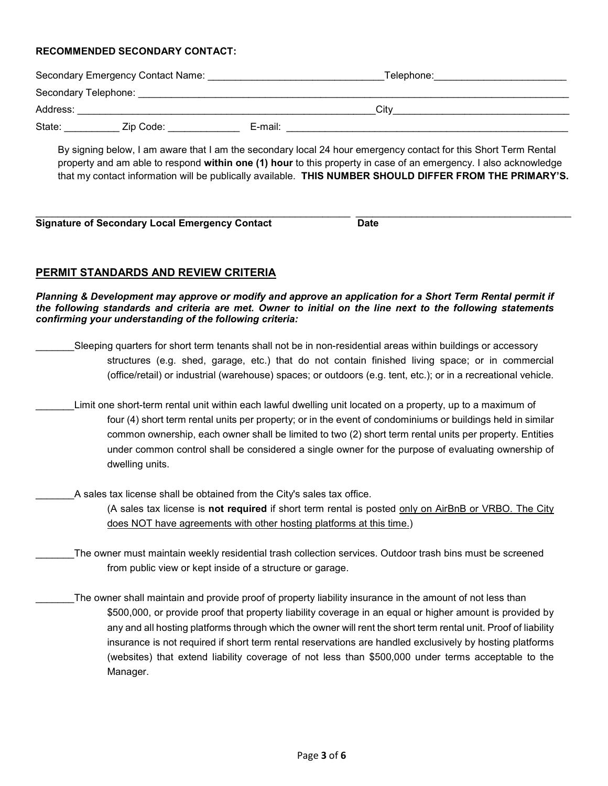#### **RECOMMENDED SECONDARY CONTACT:**

|          | Secondary Emergency Contact Name: |         | Telephone: |  |
|----------|-----------------------------------|---------|------------|--|
|          |                                   |         |            |  |
| Address: |                                   |         | City       |  |
| State:   | Zip Code:                         | E-mail: |            |  |
|          |                                   |         |            |  |

By signing below, I am aware that I am the secondary local 24 hour emergency contact for this Short Term Rental property and am able to respond **within one (1) hour** to this property in case of an emergency. I also acknowledge that my contact information will be publically available. **THIS NUMBER SHOULD DIFFER FROM THE PRIMARY'S.**

| <b>Signature of Secondary Local Emergency Contact</b> | Date |  |
|-------------------------------------------------------|------|--|

## **PERMIT STANDARDS AND REVIEW CRITERIA**

*Planning & Development may approve or modify and approve an application for a Short Term Rental permit if the following standards and criteria are met. Owner to initial on the line next to the following statements confirming your understanding of the following criteria:*

- Sleeping quarters for short term tenants shall not be in non-residential areas within buildings or accessory structures (e.g. shed, garage, etc.) that do not contain finished living space; or in commercial (office/retail) or industrial (warehouse) spaces; or outdoors (e.g. tent, etc.); or in a recreational vehicle.
	- Limit one short-term rental unit within each lawful dwelling unit located on a property, up to a maximum of four (4) short term rental units per property; or in the event of condominiums or buildings held in similar common ownership, each owner shall be limited to two (2) short term rental units per property. Entities under common control shall be considered a single owner for the purpose of evaluating ownership of dwelling units.
	- A sales tax license shall be obtained from the City's sales tax office.

(A sales tax license is **not required** if short term rental is posted only on AirBnB or VRBO. The City does NOT have agreements with other hosting platforms at this time.)

- The owner must maintain weekly residential trash collection services. Outdoor trash bins must be screened from public view or kept inside of a structure or garage.
- $\_$ The owner shall maintain and provide proof of property liability insurance in the amount of not less than  $\,$ \$500,000, or provide proof that property liability coverage in an equal or higher amount is provided by any and all hosting platforms through which the owner will rent the short term rental unit. Proof of liability insurance is not required if short term rental reservations are handled exclusively by hosting platforms (websites) that extend liability coverage of not less than \$500,000 under terms acceptable to the Manager.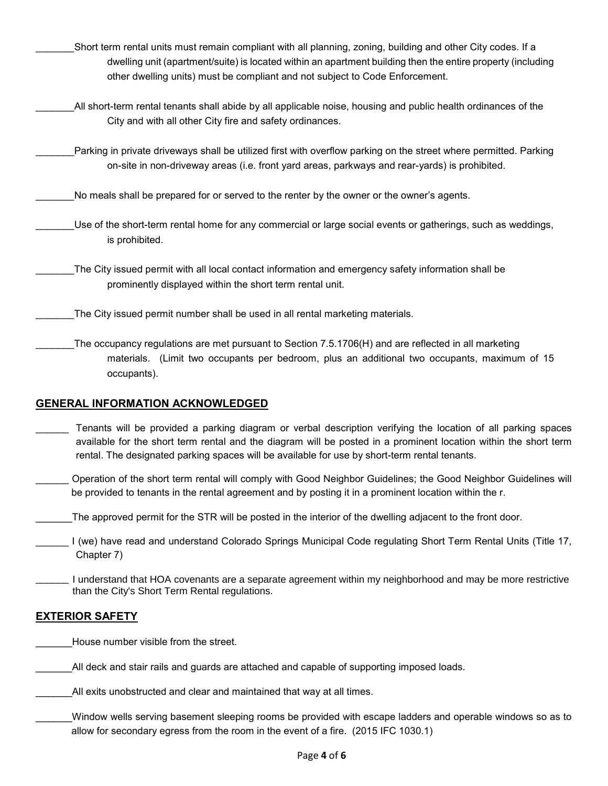- \_\_\_\_\_\_\_Short term rental units must remain compliant with all planning, zoning, building and other City codes. If a dwelling unit (apartment/suite) is located within an apartment building then the entire property (including other dwelling units) must be compliant and not subject to Code Enforcement.
- All short-term rental tenants shall abide by all applicable noise, housing and public health ordinances of the City and with all other City fire and safety ordinances.
	- Parking in private driveways shall be utilized first with overflow parking on the street where permitted. Parking on-site in non-driveway areas (i.e. front yard areas, parkways and rear-yards) is prohibited.
- No meals shall be prepared for or served to the renter by the owner or the owner's agents.
	- Use of the short-term rental home for any commercial or large social events or gatherings, such as weddings, is prohibited.
- The City issued permit with all local contact information and emergency safety information shall be prominently displayed within the short term rental unit.
- The City issued permit number shall be used in all rental marketing materials.
- The occupancy regulations are met pursuant to Section 7.5.1706(H) and are reflected in all marketing materials. (Limit two occupants per bedroom, plus an additional two occupants, maximum of 15 occupants).

## **GENERAL INFORMATION ACKNOWLEDGED**

- Tenants will be provided a parking diagram or verbal description verifying the location of all parking spaces available for the short term rental and the diagram will be posted in a prominent location within the short term rental. The designated parking spaces will be available for use by short-term rental tenants.
- \_\_\_\_\_\_ Operation of the short term rental will comply with Good Neighbor Guidelines; the Good Neighbor Guidelines will be provided to tenants in the rental agreement and by posting it in a prominent location within the r.
- \_\_\_\_\_\_The approved permit for the STR will be posted in the interior of the dwelling adjacent to the front door.
- \_\_\_\_\_\_ I (we) have read and understand Colorado Springs Municipal Code regulating Short Term Rental Units (Title 17, Chapter 7)
- I understand that HOA covenants are a separate agreement within my neighborhood and may be more restrictive than the City's Short Term Rental regulations.

## **EXTERIOR SAFETY**

House number visible from the street.

All deck and stair rails and guards are attached and capable of supporting imposed loads.

All exits unobstructed and clear and maintained that way at all times.

Window wells serving basement sleeping rooms be provided with escape ladders and operable windows so as to allow for secondary egress from the room in the event of a fire. (2015 IFC 1030.1)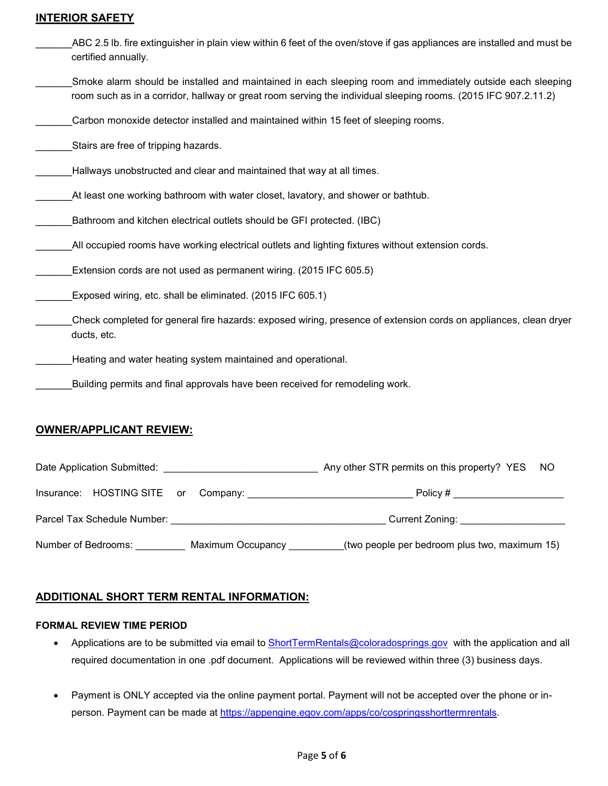#### **INTERIOR SAFETY**

| ABC 2.5 lb. fire extinguisher in plain view within 6 feet of the oven/stove if gas appliances are installed and must be<br>certified annually.                                                                               |
|------------------------------------------------------------------------------------------------------------------------------------------------------------------------------------------------------------------------------|
| Smoke alarm should be installed and maintained in each sleeping room and immediately outside each sleeping<br>room such as in a corridor, hallway or great room serving the individual sleeping rooms. (2015 IFC 907.2.11.2) |
| Carbon monoxide detector installed and maintained within 15 feet of sleeping rooms.                                                                                                                                          |
| Stairs are free of tripping hazards.                                                                                                                                                                                         |
| Hallways unobstructed and clear and maintained that way at all times.                                                                                                                                                        |
| At least one working bathroom with water closet, lavatory, and shower or bathtub.                                                                                                                                            |
| Bathroom and kitchen electrical outlets should be GFI protected. (IBC)                                                                                                                                                       |
| All occupied rooms have working electrical outlets and lighting fixtures without extension cords.                                                                                                                            |
| Extension cords are not used as permanent wiring. (2015 IFC 605.5)                                                                                                                                                           |
| Exposed wiring, etc. shall be eliminated. (2015 IFC 605.1)                                                                                                                                                                   |
| Check completed for general fire hazards: exposed wiring, presence of extension cords on appliances, clean dryer<br>ducts, etc.                                                                                              |
| Heating and water heating system maintained and operational.                                                                                                                                                                 |
| Building permits and final approvals have been received for remodeling work.                                                                                                                                                 |
|                                                                                                                                                                                                                              |

## **OWNER/APPLICANT REVIEW:**

| Date Application Submitted:         |                   | Any other STR permits on this property? YES NO |  |
|-------------------------------------|-------------------|------------------------------------------------|--|
| Insurance: HOSTING SITE or Company: |                   | Policy # ____________________                  |  |
| Parcel Tax Schedule Number:         |                   | Current Zoning: __________________             |  |
| Number of Bedrooms:                 | Maximum Occupancy | (two people per bedroom plus two, maximum 15)  |  |

# **ADDITIONAL SHORT TERM RENTAL INFORMATION:**

#### **FORMAL REVIEW TIME PERIOD**

- Applications are to be submitted via email to [ShortTermRentals@coloradosprings.gov](mailto:ShortTermRentals@coloradosprings.gov) with the application and all required documentation in one .pdf document. Applications will be reviewed within three (3) business days.
- Payment is ONLY accepted via the online payment portal. Payment will not be accepted over the phone or inperson. Payment can be made at [https://appengine.egov.com/apps/co/cospringsshorttermrentals.](https://appengine.egov.com/apps/co/cospringsshorttermrentals)